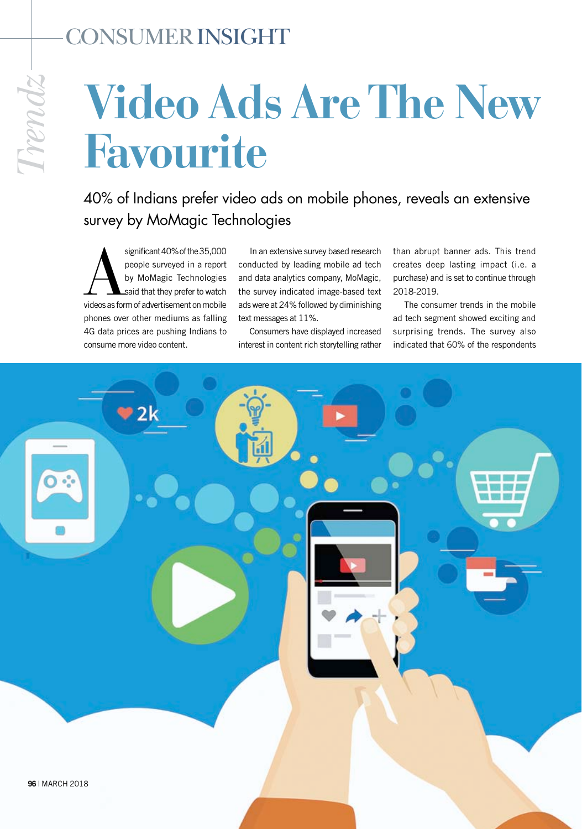## Consumer insight

## **Video Ads Are The New Favourite**

40% of Indians prefer video ads on mobile phones, reveals an extensive survey by MoMagic Technologies

significant 40% of the 35,000<br>
people surveyed in a report<br>
by MoMagic Technologies<br>
said that they prefer to watch<br>
videos as form of advertisement on mobile people surveyed in a report by MoMagic Technologies said that they prefer to watch phones over other mediums as falling 4G data prices are pushing Indians to consume more video content.

In an extensive survey based research conducted by leading mobile ad tech and data analytics company, MoMagic, the survey indicated image-based text ads were at 24% followed by diminishing text messages at 11%.

Consumers have displayed increased interest in content rich storytelling rather

than abrupt banner ads. This trend creates deep lasting impact (i.e. a purchase) and is set to continue through 2018-2019.

The consumer trends in the mobile ad tech segment showed exciting and surprising trends. The survey also indicated that 60% of the respondents